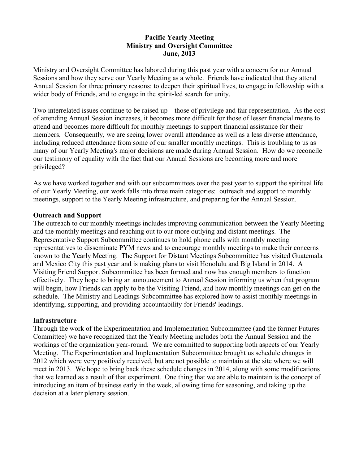## **Pacific Yearly Meeting Ministry and Oversight Committee June, 2013**

Ministry and Oversight Committee has labored during this past year with a concern for our Annual Sessions and how they serve our Yearly Meeting as a whole. Friends have indicated that they attend Annual Session for three primary reasons: to deepen their spiritual lives, to engage in fellowship with a wider body of Friends, and to engage in the spirit-led search for unity.

Two interrelated issues continue to be raised up—those of privilege and fair representation. As the cost of attending Annual Session increases, it becomes more difficult for those of lesser financial means to attend and becomes more difficult for monthly meetings to support financial assistance for their members. Consequently, we are seeing lower overall attendance as well as a less diverse attendance, including reduced attendance from some of our smaller monthly meetings. This is troubling to us as many of our Yearly Meeting's major decisions are made during Annual Session. How do we reconcile our testimony of equality with the fact that our Annual Sessions are becoming more and more privileged?

As we have worked together and with our subcommittees over the past year to support the spiritual life of our Yearly Meeting, our work falls into three main categories: outreach and support to monthly meetings, support to the Yearly Meeting infrastructure, and preparing for the Annual Session.

## **Outreach and Support**

The outreach to our monthly meetings includes improving communication between the Yearly Meeting and the monthly meetings and reaching out to our more outlying and distant meetings. The Representative Support Subcommittee continues to hold phone calls with monthly meeting representatives to disseminate PYM news and to encourage monthly meetings to make their concerns known to the Yearly Meeting. The Support for Distant Meetings Subcommittee has visited Guatemala and Mexico City this past year and is making plans to visit Honolulu and Big Island in 2014. A Visiting Friend Support Subcommittee has been formed and now has enough members to function effectively. They hope to bring an announcement to Annual Session informing us when that program will begin, how Friends can apply to be the Visiting Friend, and how monthly meetings can get on the schedule. The Ministry and Leadings Subcommittee has explored how to assist monthly meetings in identifying, supporting, and providing accountability for Friends' leadings.

## **Infrastructure**

Through the work of the Experimentation and Implementation Subcommittee (and the former Futures Committee) we have recognized that the Yearly Meeting includes both the Annual Session and the workings of the organization year-round. We are committed to supporting both aspects of our Yearly Meeting. The Experimentation and Implementation Subcommittee brought us schedule changes in 2012 which were very positively received, but are not possible to maintain at the site where we will meet in 2013. We hope to bring back these schedule changes in 2014, along with some modifications that we learned as a result of that experiment. One thing that we are able to maintain is the concept of introducing an item of business early in the week, allowing time for seasoning, and taking up the decision at a later plenary session.